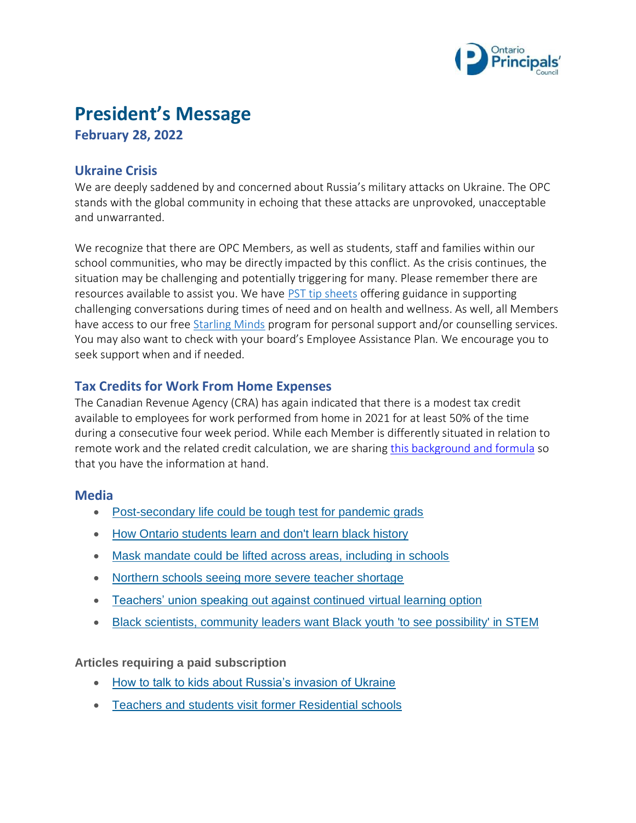

# **President's Message**

**February 28, 2022**

## **Ukraine Crisis**

We are deeply saddened by and concerned about Russia's military attacks on Ukraine. The OPC stands with the global community in echoing that these attacks are unprovoked, unacceptable and unwarranted.

We recognize that there are OPC Members, as well as students, staff and families within our school communities, who may be directly impacted by this conflict. As the crisis continues, the situation may be challenging and potentially triggering for many. Please remember there are resources available to assist you. We have [PST tip sheets](https://www.principals.ca/en/protective-services/pst-resources.aspx) offering guidance in supporting challenging conversations during times of need and on health and wellness. As well, all Members have access to our free [Starling Minds](https://www.principals.ca/en/professional-learning/starling-minds.aspx) program for personal support and/or counselling services. You may also want to check with your board's Employee Assistance Plan. We encourage you to seek support when and if needed.

# **Tax Credits for Work From Home Expenses**

The Canadian Revenue Agency (CRA) has again indicated that there is a modest tax credit available to employees for work performed from home in 2021 for at least 50% of the time during a consecutive four week period. While each Member is differently situated in relation to remote work and the related credit calculation, we are sharing [this background and formula](https://www.principals.ca/en/who-we-are/resources/protected/Finance/HomeOfficeExpenses2021.pdf) so that you have the information at hand.

#### **Media**

- [Post-secondary life could be tough test for pandemic grads](https://www.cbc.ca/news/canada/toronto/post-secondary-life-could-be-tough-test-for-pandemic-grads-1.6360402)
- [How Ontario students learn and don't learn black history](https://www.tvo.org/article/how-ontario-students-learn-and-dont-learn-black-history)
- [Mask mandate could be lifted across areas, including in schools](https://toronto.ctvnews.ca/ontario-s-mask-mandate-could-be-lifted-simultaneously-across-most-areas-including-in-schools-1.5794833)
- [Northern schools seeing more severe teacher shortage](https://northernontario.ctvnews.ca/northern-schools-seeing-more-severe-teacher-shortage-more-struggling-students-due-to-pandemic-1.5789136)
- [Teachers' union speaking out against continued virtual learning option](https://www.sudbury.com/local-news/teachers-union-speaking-out-against-continued-virtual-learning-option-in-2022-23-school-year-5083272)
- [Black scientists, community leaders want Black youth 'to see possibility' in STEM](https://www.cbc.ca/news/canada/black-students-stem-1.6344939)

**Articles requiring a paid subscription**

- [How to talk to kids about Russia's invasion of Ukraine](https://www.theglobeandmail.com/world/article-how-to-talk-to-kids-about-russias-invasion-of-ukraine/)
- [Teachers and students visit](https://www.thestar.com/news/canada/2022/02/22/teachers-students-visit-former-residential-school-to-learn-what-they-havent-been-taught-before.html) former Residential schools